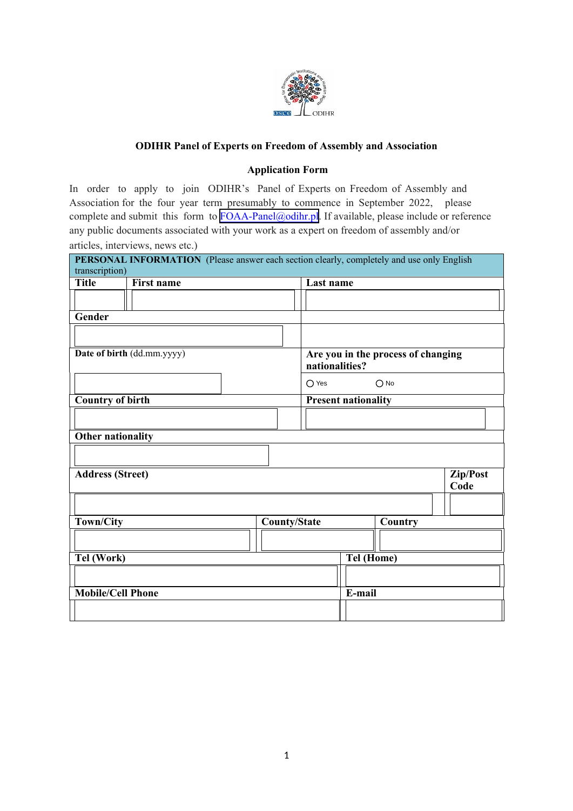

## **ODIHR Panel of Experts on Freedom of Assembly and Association**

## **Application Form**

In order to apply to join ODIHR's Panel of Experts on Freedom of Assembly and Association for the four year term presumably to commence in September 2022, please complete and submit this form to [FOAA-Panel@odihr.pl](mailto:FOAA-Panel@odihr.pl). If available, please include or reference any public documents associated with your work as a expert on freedom of assembly and/or articles, interviews, news etc.)

| PERSONAL INFORMATION (Please answer each section clearly, completely and use only English |                   |                     |                                                      |            |               |                  |  |
|-------------------------------------------------------------------------------------------|-------------------|---------------------|------------------------------------------------------|------------|---------------|------------------|--|
| transcription)                                                                            |                   |                     |                                                      |            |               |                  |  |
| <b>Title</b>                                                                              | <b>First name</b> |                     | Last name                                            |            |               |                  |  |
|                                                                                           |                   |                     |                                                      |            |               |                  |  |
| Gender                                                                                    |                   |                     |                                                      |            |               |                  |  |
|                                                                                           |                   |                     |                                                      |            |               |                  |  |
| Date of birth (dd.mm.yyyy)                                                                |                   |                     | Are you in the process of changing<br>nationalities? |            |               |                  |  |
|                                                                                           |                   |                     | $\bigcirc$ Yes                                       |            | $\bigcirc$ No |                  |  |
| <b>Country of birth</b>                                                                   |                   |                     | <b>Present nationality</b>                           |            |               |                  |  |
|                                                                                           |                   |                     |                                                      |            |               |                  |  |
| <b>Other nationality</b>                                                                  |                   |                     |                                                      |            |               |                  |  |
|                                                                                           |                   |                     |                                                      |            |               |                  |  |
|                                                                                           |                   |                     |                                                      |            |               |                  |  |
| <b>Address (Street)</b>                                                                   |                   |                     |                                                      |            |               | Zip/Post<br>Code |  |
|                                                                                           |                   |                     |                                                      |            |               |                  |  |
| <b>Town/City</b>                                                                          |                   | <b>County/State</b> |                                                      |            | Country       |                  |  |
|                                                                                           |                   |                     |                                                      |            |               |                  |  |
| Tel (Work)                                                                                |                   |                     |                                                      | Tel (Home) |               |                  |  |
|                                                                                           |                   |                     |                                                      |            |               |                  |  |
|                                                                                           |                   |                     |                                                      |            |               |                  |  |
| <b>Mobile/Cell Phone</b>                                                                  |                   |                     |                                                      | E-mail     |               |                  |  |
|                                                                                           |                   |                     |                                                      |            |               |                  |  |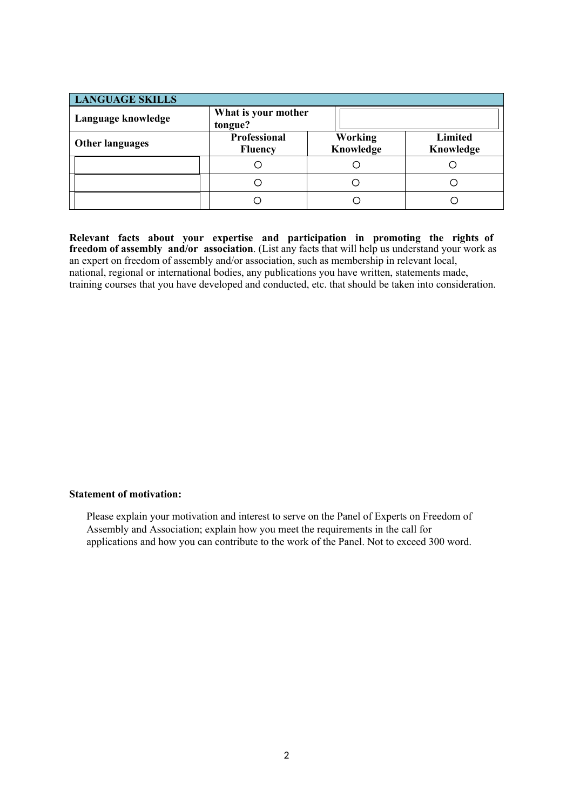| <b>LANGUAGE SKILLS</b> |                                       |                             |                             |  |  |  |  |
|------------------------|---------------------------------------|-----------------------------|-----------------------------|--|--|--|--|
| Language knowledge     | What is your mother<br>tongue?        |                             |                             |  |  |  |  |
| <b>Other languages</b> | <b>Professional</b><br><b>Fluency</b> | <b>Working</b><br>Knowledge | <b>Limited</b><br>Knowledge |  |  |  |  |
|                        |                                       |                             |                             |  |  |  |  |
|                        | 8                                     |                             |                             |  |  |  |  |
|                        |                                       |                             |                             |  |  |  |  |

**Relevant facts about your expertise and participation in promoting the rights of freedom of assembly and/or association**. (List any facts that will help us understand your work as an expert on freedom of assembly and/or association, such as membership in relevant local, national, regional or international bodies, any publications you have written, statements made, training courses that you have developed and conducted, etc. that should be taken into consideration.

## **Statement of motivation:**

Please explain your motivation and interest to serve on the Panel of Experts on Freedom of Assembly and Association; explain how you meet the requirements in the call for applications and how you can contribute to the work of the Panel. Not to exceed 300 word.